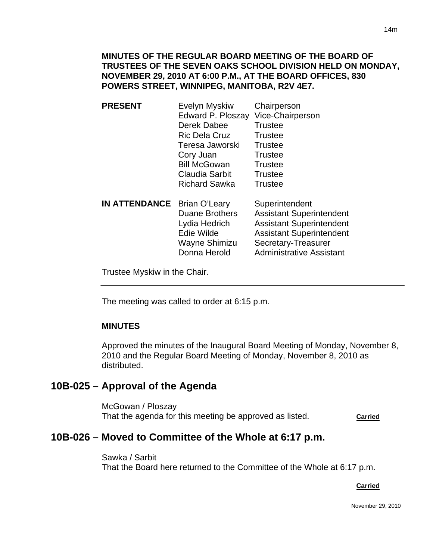## **MINUTES OF THE REGULAR BOARD MEETING OF THE BOARD OF TRUSTEES OF THE SEVEN OAKS SCHOOL DIVISION HELD ON MONDAY, NOVEMBER 29, 2010 AT 6:00 P.M., AT THE BOARD OFFICES, 830 POWERS STREET, WINNIPEG, MANITOBA, R2V 4E7.**

- **PRESENT** Evelyn Myskiw Chairperson Edward P. Ploszay Vice-Chairperson Derek Dabee Trustee Ric Dela Cruz Trustee Teresa Jaworski Trustee Cory Juan Trustee Bill McGowan Trustee Claudia Sarbit Trustee Richard Sawka Trustee
- **IN ATTENDANCE** Brian O'Leary Superintendent Duane Brothers Assistant Superintendent Lydia Hedrich Assistant Superintendent Edie Wilde Assistant Superintendent Wayne Shimizu Secretary-Treasurer Donna Herold Administrative Assistant

Trustee Myskiw in the Chair.

The meeting was called to order at 6:15 p.m.

## **MINUTES**

I

Approved the minutes of the Inaugural Board Meeting of Monday, November 8, 2010 and the Regular Board Meeting of Monday, November 8, 2010 as distributed.

## **10B-025 – Approval of the Agenda**

McGowan / Ploszay That the agenda for this meeting be approved as listed. **Carried**

## **10B-026 – Moved to Committee of the Whole at 6:17 p.m.**

Sawka / Sarbit That the Board here returned to the Committee of the Whole at 6:17 p.m.

#### **Carried** Carried Communication of the Carried Carried Carried Carried Carried Carried Carried Carried Carried Carried Carried Carried Carried Carried Carried Carried Carried Carried Carried Carried Carried Carried Carried

November 29, 2010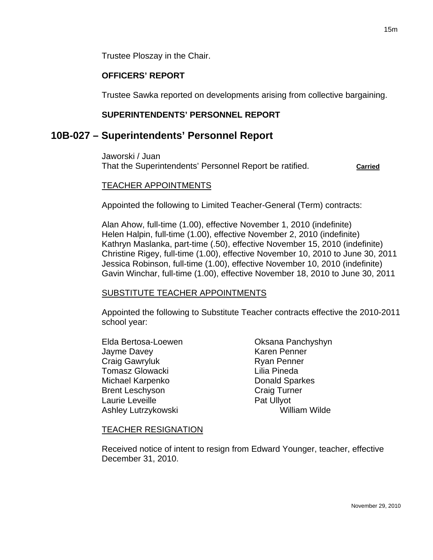Trustee Ploszay in the Chair.

## **OFFICERS' REPORT**

Trustee Sawka reported on developments arising from collective bargaining.

## **SUPERINTENDENTS' PERSONNEL REPORT**

## **10B-027 – Superintendents' Personnel Report**

Jaworski / Juan That the Superintendents' Personnel Report be ratified. **Carried**

#### TEACHER APPOINTMENTS

Appointed the following to Limited Teacher-General (Term) contracts:

Alan Ahow, full-time (1.00), effective November 1, 2010 (indefinite) Helen Halpin, full-time (1.00), effective November 2, 2010 (indefinite) Kathryn Maslanka, part-time (.50), effective November 15, 2010 (indefinite) Christine Rigey, full-time (1.00), effective November 10, 2010 to June 30, 2011 Jessica Robinson, full-time (1.00), effective November 10, 2010 (indefinite) Gavin Winchar, full-time (1.00), effective November 18, 2010 to June 30, 2011

#### SUBSTITUTE TEACHER APPOINTMENTS

Appointed the following to Substitute Teacher contracts effective the 2010-2011 school year:

Elda Bertosa-Loewen **Casaca Branchyshyn** Jayme Davey **Karen Penner** Craig Gawryluk Ryan Penner Tomasz Glowacki **Lilia Pineda** Michael Karpenko **Donald Sparkes** Brent Leschyson Craig Turner Laurie Leveille **Pat Ullyot** Ashley Lutrzykowski William Wilde

#### TEACHER RESIGNATION

Received notice of intent to resign from Edward Younger, teacher, effective December 31, 2010.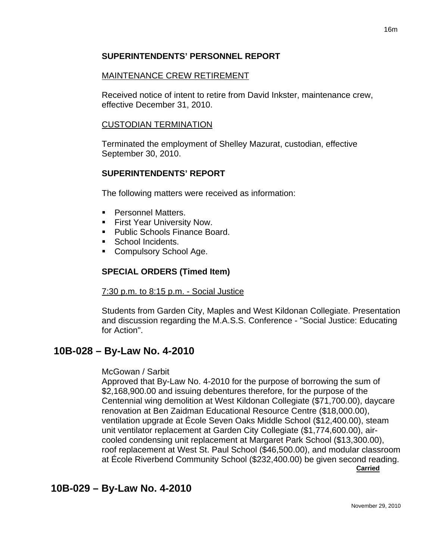## **SUPERINTENDENTS' PERSONNEL REPORT**

## MAINTENANCE CREW RETIREMENT

Received notice of intent to retire from David Inkster, maintenance crew, effective December 31, 2010.

## CUSTODIAN TERMINATION

Terminated the employment of Shelley Mazurat, custodian, effective September 30, 2010.

## **SUPERINTENDENTS' REPORT**

The following matters were received as information:

- **Personnel Matters.**
- **First Year University Now.**
- Public Schools Finance Board.
- School Incidents.
- **Compulsory School Age.**

## **SPECIAL ORDERS (Timed Item)**

7:30 p.m. to 8:15 p.m. - Social Justice

Students from Garden City, Maples and West Kildonan Collegiate. Presentation and discussion regarding the M.A.S.S. Conference - "Social Justice: Educating for Action".

# **10B-028 – By-Law No. 4-2010**

## McGowan / Sarbit

Approved that By-Law No. 4-2010 for the purpose of borrowing the sum of \$2,168,900.00 and issuing debentures therefore, for the purpose of the Centennial wing demolition at West Kildonan Collegiate (\$71,700.00), daycare renovation at Ben Zaidman Educational Resource Centre (\$18,000.00), ventilation upgrade at École Seven Oaks Middle School (\$12,400.00), steam unit ventilator replacement at Garden City Collegiate (\$1,774,600.00), aircooled condensing unit replacement at Margaret Park School (\$13,300.00), roof replacement at West St. Paul School (\$46,500.00), and modular classroom at École Riverbend Community School (\$232,400.00) be given second reading.

**Carried**

# **10B-029 – By-Law No. 4-2010**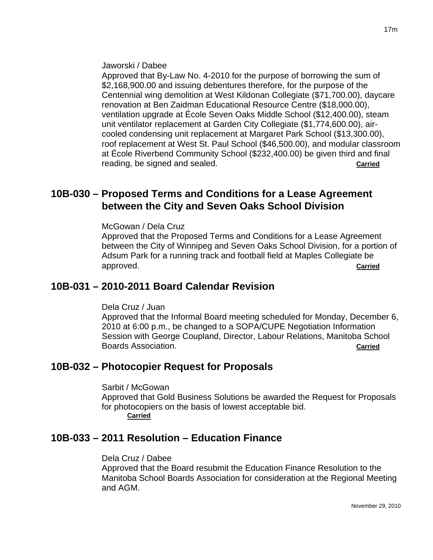Jaworski / Dabee

Approved that By-Law No. 4-2010 for the purpose of borrowing the sum of \$2,168,900.00 and issuing debentures therefore, for the purpose of the Centennial wing demolition at West Kildonan Collegiate (\$71,700.00), daycare renovation at Ben Zaidman Educational Resource Centre (\$18,000.00), ventilation upgrade at École Seven Oaks Middle School (\$12,400.00), steam unit ventilator replacement at Garden City Collegiate (\$1,774,600.00), aircooled condensing unit replacement at Margaret Park School (\$13,300.00), roof replacement at West St. Paul School (\$46,500.00), and modular classroom at École Riverbend Community School (\$232,400.00) be given third and final reading, be signed and sealed. **Carried**

# **10B-030 – Proposed Terms and Conditions for a Lease Agreement between the City and Seven Oaks School Division**

McGowan / Dela Cruz

Approved that the Proposed Terms and Conditions for a Lease Agreement between the City of Winnipeg and Seven Oaks School Division, for a portion of Adsum Park for a running track and football field at Maples Collegiate be approved. **Carried**

# **10B-031 – 2010-2011 Board Calendar Revision**

Dela Cruz / Juan

Approved that the Informal Board meeting scheduled for Monday, December 6, 2010 at 6:00 p.m., be changed to a SOPA/CUPE Negotiation Information Session with George Coupland, Director, Labour Relations, Manitoba School Boards Association. **Carried**

# **10B-032 – Photocopier Request for Proposals**

Sarbit / McGowan Approved that Gold Business Solutions be awarded the Request for Proposals for photocopiers on the basis of lowest acceptable bid. **Carried**

## **10B-033 – 2011 Resolution – Education Finance**

Dela Cruz / Dabee Approved that the Board resubmit the Education Finance Resolution to the Manitoba School Boards Association for consideration at the Regional Meeting and AGM.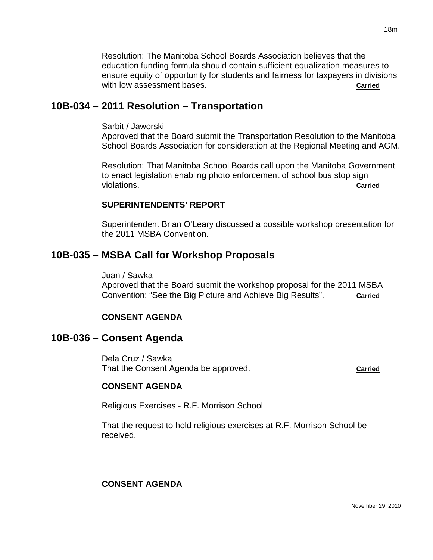Resolution: The Manitoba School Boards Association believes that the education funding formula should contain sufficient equalization measures to ensure equity of opportunity for students and fairness for taxpayers in divisions with low assessment bases. **Carried Carried Carried** 

## **10B-034 – 2011 Resolution – Transportation**

Sarbit / Jaworski

Approved that the Board submit the Transportation Resolution to the Manitoba School Boards Association for consideration at the Regional Meeting and AGM.

Resolution: That Manitoba School Boards call upon the Manitoba Government to enact legislation enabling photo enforcement of school bus stop sign violations. **Carried**

#### **SUPERINTENDENTS' REPORT**

Superintendent Brian O'Leary discussed a possible workshop presentation for the 2011 MSBA Convention.

## **10B-035 – MSBA Call for Workshop Proposals**

Juan / Sawka

Approved that the Board submit the workshop proposal for the 2011 MSBA Convention: "See the Big Picture and Achieve Big Results". **Carried**

## **CONSENT AGENDA**

## **10B-036 – Consent Agenda**

Dela Cruz / Sawka That the Consent Agenda be approved. **Carried**

## **CONSENT AGENDA**

Religious Exercises - R.F. Morrison School

That the request to hold religious exercises at R.F. Morrison School be received.

## **CONSENT AGENDA**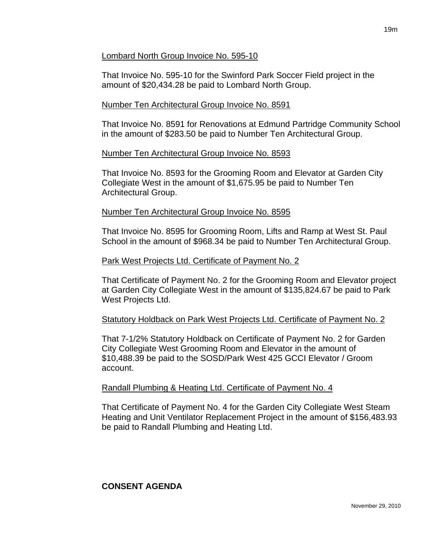#### Lombard North Group Invoice No. 595-10

That Invoice No. 595-10 for the Swinford Park Soccer Field project in the amount of \$20,434.28 be paid to Lombard North Group.

## Number Ten Architectural Group Invoice No. 8591

That Invoice No. 8591 for Renovations at Edmund Partridge Community School in the amount of \$283.50 be paid to Number Ten Architectural Group.

## Number Ten Architectural Group Invoice No. 8593

That Invoice No. 8593 for the Grooming Room and Elevator at Garden City Collegiate West in the amount of \$1,675.95 be paid to Number Ten Architectural Group.

## Number Ten Architectural Group Invoice No. 8595

That Invoice No. 8595 for Grooming Room, Lifts and Ramp at West St. Paul School in the amount of \$968.34 be paid to Number Ten Architectural Group.

#### Park West Projects Ltd. Certificate of Payment No. 2

That Certificate of Payment No. 2 for the Grooming Room and Elevator project at Garden City Collegiate West in the amount of \$135,824.67 be paid to Park West Projects Ltd.

## Statutory Holdback on Park West Projects Ltd. Certificate of Payment No. 2

That 7-1/2% Statutory Holdback on Certificate of Payment No. 2 for Garden City Collegiate West Grooming Room and Elevator in the amount of \$10,488.39 be paid to the SOSD/Park West 425 GCCI Elevator / Groom account.

## Randall Plumbing & Heating Ltd. Certificate of Payment No. 4

That Certificate of Payment No. 4 for the Garden City Collegiate West Steam Heating and Unit Ventilator Replacement Project in the amount of \$156,483.93 be paid to Randall Plumbing and Heating Ltd.

## **CONSENT AGENDA**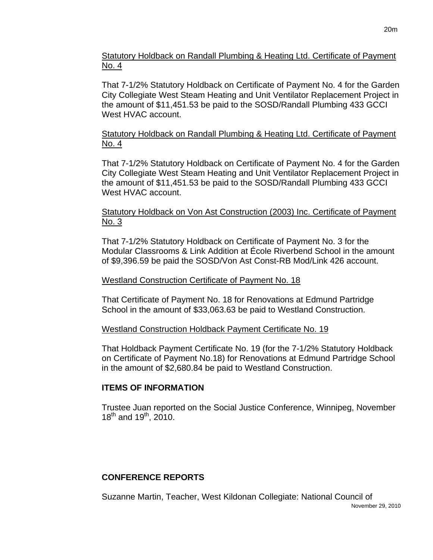Statutory Holdback on Randall Plumbing & Heating Ltd. Certificate of Payment No. 4

That 7-1/2% Statutory Holdback on Certificate of Payment No. 4 for the Garden City Collegiate West Steam Heating and Unit Ventilator Replacement Project in the amount of \$11,451.53 be paid to the SOSD/Randall Plumbing 433 GCCI West HVAC account.

## Statutory Holdback on Randall Plumbing & Heating Ltd. Certificate of Payment No. 4

That 7-1/2% Statutory Holdback on Certificate of Payment No. 4 for the Garden City Collegiate West Steam Heating and Unit Ventilator Replacement Project in the amount of \$11,451.53 be paid to the SOSD/Randall Plumbing 433 GCCI West HVAC account.

## Statutory Holdback on Von Ast Construction (2003) Inc. Certificate of Payment No. 3

That 7-1/2% Statutory Holdback on Certificate of Payment No. 3 for the Modular Classrooms & Link Addition at École Riverbend School in the amount of \$9,396.59 be paid the SOSD/Von Ast Const-RB Mod/Link 426 account.

## Westland Construction Certificate of Payment No. 18

That Certificate of Payment No. 18 for Renovations at Edmund Partridge School in the amount of \$33,063.63 be paid to Westland Construction.

## Westland Construction Holdback Payment Certificate No. 19

That Holdback Payment Certificate No. 19 (for the 7-1/2% Statutory Holdback on Certificate of Payment No.18) for Renovations at Edmund Partridge School in the amount of \$2,680.84 be paid to Westland Construction.

## **ITEMS OF INFORMATION**

Trustee Juan reported on the Social Justice Conference, Winnipeg, November  $18^{th}$  and  $19^{th}$ , 2010.

## **CONFERENCE REPORTS**

Suzanne Martin, Teacher, West Kildonan Collegiate: National Council of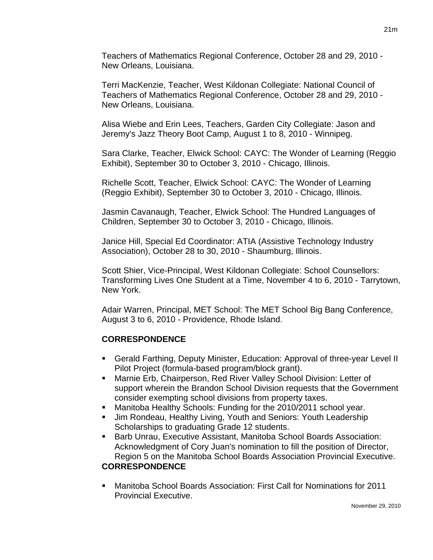Teachers of Mathematics Regional Conference, October 28 and 29, 2010 - New Orleans, Louisiana.

Terri MacKenzie, Teacher, West Kildonan Collegiate: National Council of Teachers of Mathematics Regional Conference, October 28 and 29, 2010 - New Orleans, Louisiana.

Alisa Wiebe and Erin Lees, Teachers, Garden City Collegiate: Jason and Jeremy's Jazz Theory Boot Camp, August 1 to 8, 2010 - Winnipeg.

Sara Clarke, Teacher, Elwick School: CAYC: The Wonder of Learning (Reggio Exhibit), September 30 to October 3, 2010 - Chicago, Illinois.

Richelle Scott, Teacher, Elwick School: CAYC: The Wonder of Learning (Reggio Exhibit), September 30 to October 3, 2010 - Chicago, Illinois.

Jasmin Cavanaugh, Teacher, Elwick School: The Hundred Languages of Children, September 30 to October 3, 2010 - Chicago, Illinois.

Janice Hill, Special Ed Coordinator: ATIA (Assistive Technology Industry Association), October 28 to 30, 2010 - Shaumburg, Illinois.

Scott Shier, Vice-Principal, West Kildonan Collegiate: School Counsellors: Transforming Lives One Student at a Time, November 4 to 6, 2010 - Tarrytown, New York.

Adair Warren, Principal, MET School: The MET School Big Bang Conference, August 3 to 6, 2010 - Providence, Rhode Island.

## **CORRESPONDENCE**

- Gerald Farthing, Deputy Minister, Education: Approval of three-year Level II Pilot Project (formula-based program/block grant).
- Marnie Erb, Chairperson, Red River Valley School Division: Letter of support wherein the Brandon School Division requests that the Government consider exempting school divisions from property taxes.
- Manitoba Healthy Schools: Funding for the 2010/2011 school year.
- Jim Rondeau, Healthy Living, Youth and Seniors: Youth Leadership Scholarships to graduating Grade 12 students.
- **Barb Unrau, Executive Assistant, Manitoba School Boards Association:** Acknowledgment of Cory Juan's nomination to fill the position of Director, Region 5 on the Manitoba School Boards Association Provincial Executive.

## **CORRESPONDENCE**

 Manitoba School Boards Association: First Call for Nominations for 2011 Provincial Executive.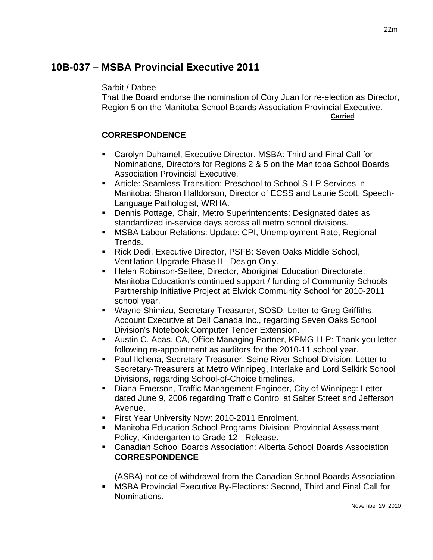# **10B-037 – MSBA Provincial Executive 2011**

#### Sarbit / Dabee

That the Board endorse the nomination of Cory Juan for re-election as Director, Region 5 on the Manitoba School Boards Association Provincial Executive. **Carried**

## **CORRESPONDENCE**

- Carolyn Duhamel, Executive Director, MSBA: Third and Final Call for Nominations, Directors for Regions 2 & 5 on the Manitoba School Boards Association Provincial Executive.
- Article: Seamless Transition: Preschool to School S-LP Services in Manitoba: Sharon Halldorson, Director of ECSS and Laurie Scott, Speech-Language Pathologist, WRHA.
- Dennis Pottage, Chair, Metro Superintendents: Designated dates as standardized in-service days across all metro school divisions.
- MSBA Labour Relations: Update: CPI, Unemployment Rate, Regional Trends.
- Rick Dedi, Executive Director, PSFB: Seven Oaks Middle School, Ventilation Upgrade Phase II - Design Only.
- **Helen Robinson-Settee, Director, Aboriginal Education Directorate:** Manitoba Education's continued support / funding of Community Schools Partnership Initiative Project at Elwick Community School for 2010-2011 school year.
- Wayne Shimizu, Secretary-Treasurer, SOSD: Letter to Greg Griffiths, Account Executive at Dell Canada Inc., regarding Seven Oaks School Division's Notebook Computer Tender Extension.
- Austin C. Abas, CA, Office Managing Partner, KPMG LLP: Thank you letter, following re-appointment as auditors for the 2010-11 school year.
- Paul Ilchena, Secretary-Treasurer, Seine River School Division: Letter to Secretary-Treasurers at Metro Winnipeg, Interlake and Lord Selkirk School Divisions, regarding School-of-Choice timelines.
- Diana Emerson, Traffic Management Engineer, City of Winnipeg: Letter dated June 9, 2006 regarding Traffic Control at Salter Street and Jefferson Avenue.
- **First Year University Now: 2010-2011 Enrolment.**
- Manitoba Education School Programs Division: Provincial Assessment Policy, Kindergarten to Grade 12 - Release.
- Canadian School Boards Association: Alberta School Boards Association **CORRESPONDENCE**

(ASBA) notice of withdrawal from the Canadian School Boards Association.

 MSBA Provincial Executive By-Elections: Second, Third and Final Call for Nominations.